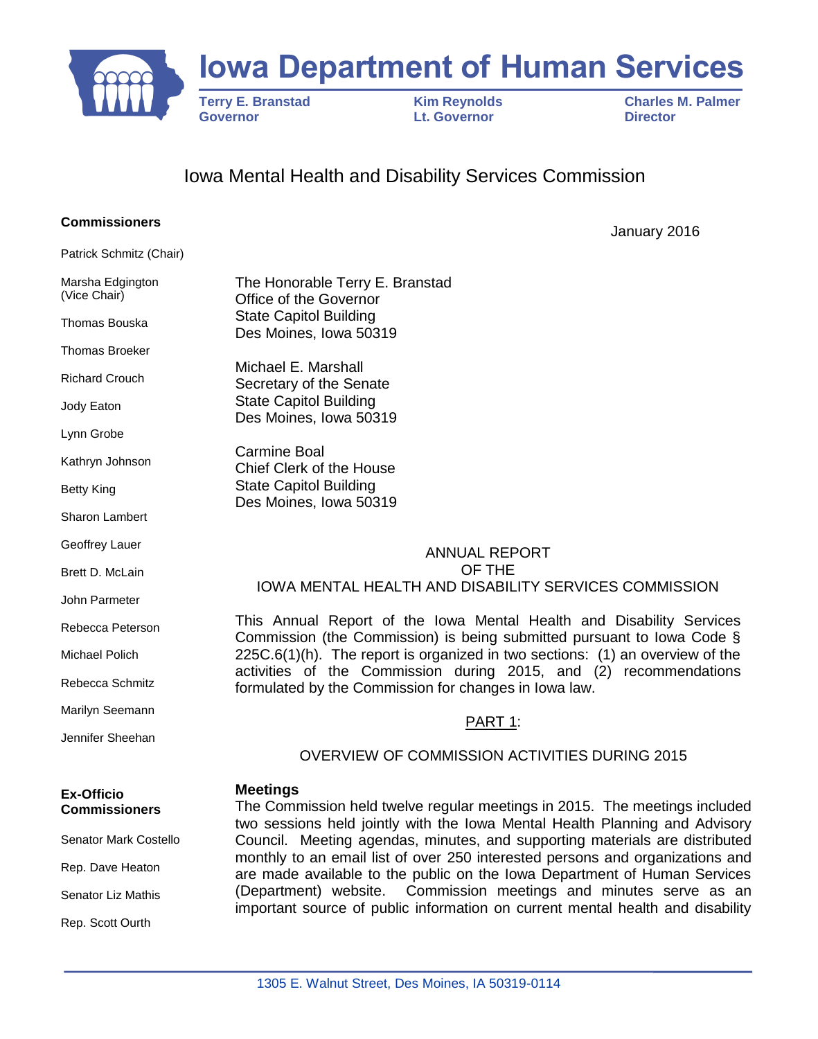

# **Iowa Department of Human Services**

 **Governor Lt. Governor Director**

**Terry E. Branstad Kim Reynolds Charles M. Palmer<br>
Governor Convertion Lt. Governor Charles Charles M. Palmer** 

# Iowa Mental Health and Disability Services Commission

#### **Commissioners**

Patrick Schmitz (Chair)

Marsha Edgington (Vice Chair)

Thomas Bouska

Thomas Broeker

Richard Crouch

Jody Eaton

Lynn Grobe

Kathryn Johnson

Betty King

Sharon Lambert

Geoffrey Lauer

Brett D. McLain

John Parmeter

Rebecca Peterson

Michael Polich

Rebecca Schmitz

Marilyn Seemann

Jennifer Sheehan

# **Meetings**

The Commission held twelve regular meetings in 2015. The meetings included two sessions held jointly with the Iowa Mental Health Planning and Advisory Council. Meeting agendas, minutes, and supporting materials are distributed monthly to an email list of over 250 interested persons and organizations and are made available to the public on the Iowa Department of Human Services (Department) website. Commission meetings and minutes serve as an important source of public information on current mental health and disability

**Ex-Officio Commissioners**

Senator Mark Costello

Rep. Dave Heaton

Senator Liz Mathis

Rep. Scott Ourth

The Honorable Terry E. Branstad Office of the Governor State Capitol Building Des Moines, Iowa 50319

Michael E. Marshall Secretary of the Senate State Capitol Building Des Moines, Iowa 50319

Carmine Boal Chief Clerk of the House State Capitol Building Des Moines, Iowa 50319

#### ANNUAL REPORT OF THE IOWA MENTAL HEALTH AND DISABILITY SERVICES COMMISSION

This Annual Report of the Iowa Mental Health and Disability Services Commission (the Commission) is being submitted pursuant to Iowa Code §  $225C.6(1)$ (h). The report is organized in two sections: (1) an overview of the activities of the Commission during 2015, and (2) recommendations formulated by the Commission for changes in Iowa law.

# PART 1:

# OVERVIEW OF COMMISSION ACTIVITIES DURING 2015

January 2016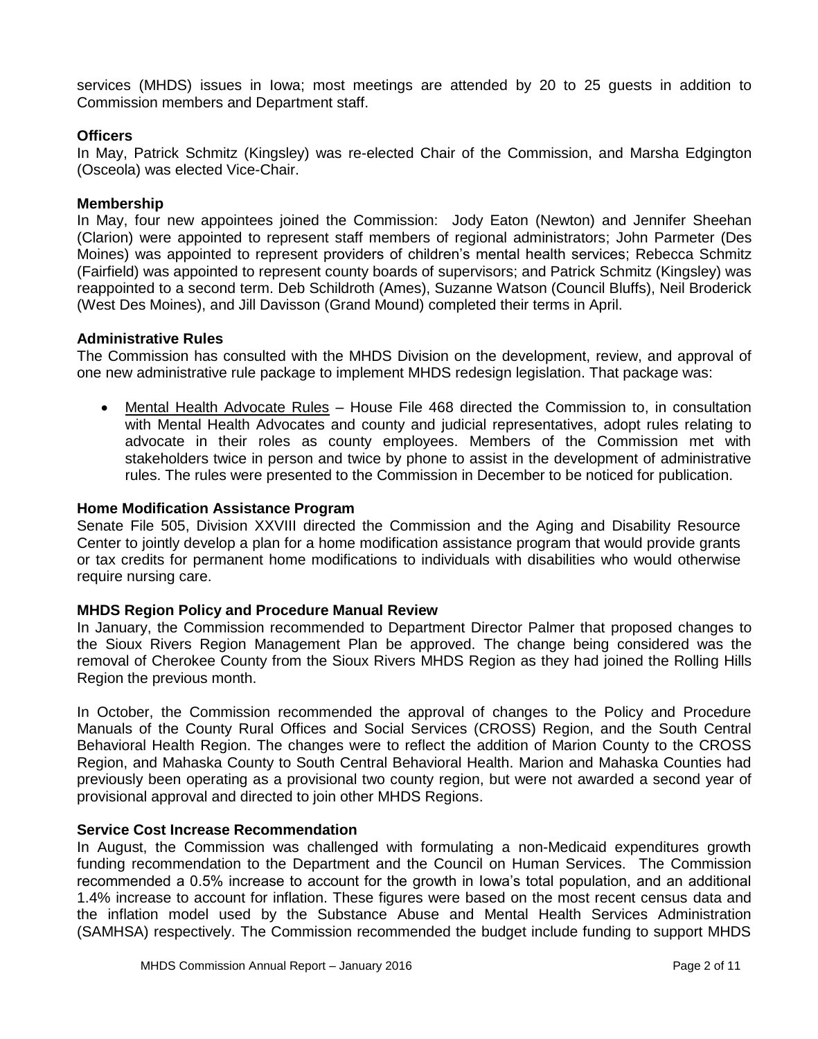services (MHDS) issues in Iowa; most meetings are attended by 20 to 25 guests in addition to Commission members and Department staff.

#### **Officers**

In May, Patrick Schmitz (Kingsley) was re-elected Chair of the Commission, and Marsha Edgington (Osceola) was elected Vice-Chair.

#### **Membership**

In May, four new appointees joined the Commission: Jody Eaton (Newton) and Jennifer Sheehan (Clarion) were appointed to represent staff members of regional administrators; John Parmeter (Des Moines) was appointed to represent providers of children's mental health services; Rebecca Schmitz (Fairfield) was appointed to represent county boards of supervisors; and Patrick Schmitz (Kingsley) was reappointed to a second term. Deb Schildroth (Ames), Suzanne Watson (Council Bluffs), Neil Broderick (West Des Moines), and Jill Davisson (Grand Mound) completed their terms in April.

# **Administrative Rules**

The Commission has consulted with the MHDS Division on the development, review, and approval of one new administrative rule package to implement MHDS redesign legislation. That package was:

 Mental Health Advocate Rules – House File 468 directed the Commission to, in consultation with Mental Health Advocates and county and judicial representatives, adopt rules relating to advocate in their roles as county employees. Members of the Commission met with stakeholders twice in person and twice by phone to assist in the development of administrative rules. The rules were presented to the Commission in December to be noticed for publication.

# **Home Modification Assistance Program**

Senate File 505, Division XXVIII directed the Commission and the Aging and Disability Resource Center to jointly develop a plan for a home modification assistance program that would provide grants or tax credits for permanent home modifications to individuals with disabilities who would otherwise require nursing care.

#### **MHDS Region Policy and Procedure Manual Review**

In January, the Commission recommended to Department Director Palmer that proposed changes to the Sioux Rivers Region Management Plan be approved. The change being considered was the removal of Cherokee County from the Sioux Rivers MHDS Region as they had joined the Rolling Hills Region the previous month.

In October, the Commission recommended the approval of changes to the Policy and Procedure Manuals of the County Rural Offices and Social Services (CROSS) Region, and the South Central Behavioral Health Region. The changes were to reflect the addition of Marion County to the CROSS Region, and Mahaska County to South Central Behavioral Health. Marion and Mahaska Counties had previously been operating as a provisional two county region, but were not awarded a second year of provisional approval and directed to join other MHDS Regions.

#### **Service Cost Increase Recommendation**

In August, the Commission was challenged with formulating a non-Medicaid expenditures growth funding recommendation to the Department and the Council on Human Services. The Commission recommended a 0.5% increase to account for the growth in Iowa's total population, and an additional 1.4% increase to account for inflation. These figures were based on the most recent census data and the inflation model used by the Substance Abuse and Mental Health Services Administration (SAMHSA) respectively. The Commission recommended the budget include funding to support MHDS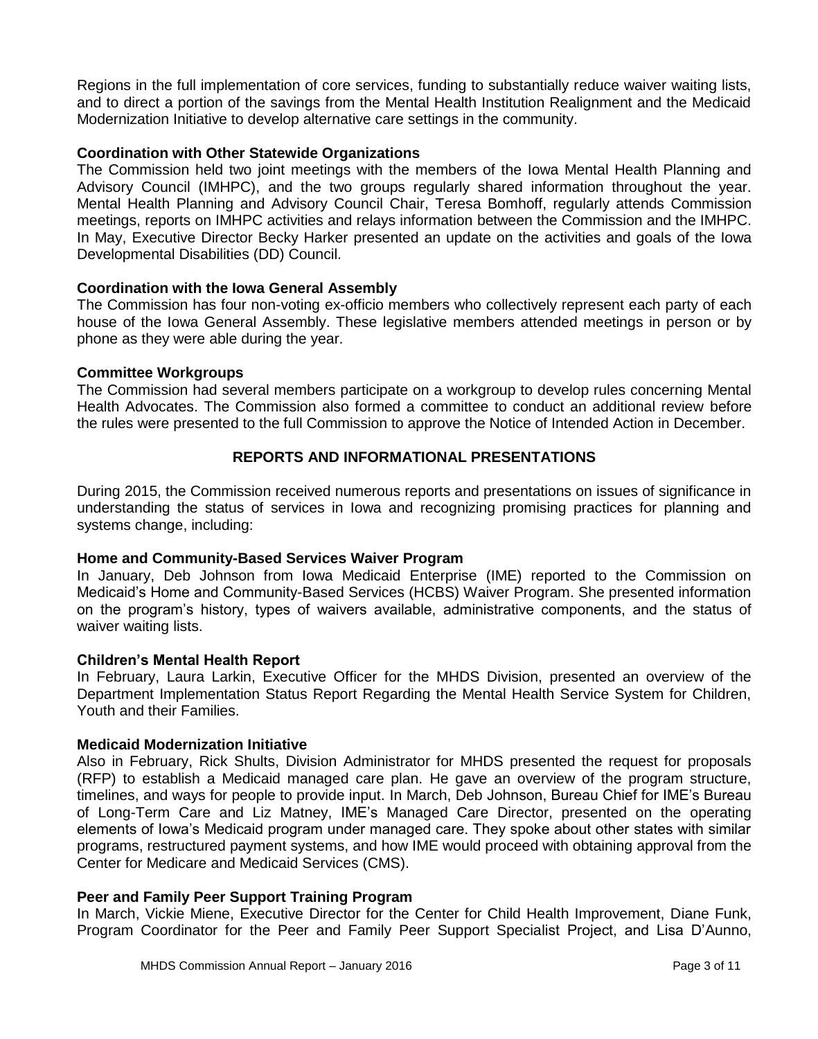Regions in the full implementation of core services, funding to substantially reduce waiver waiting lists, and to direct a portion of the savings from the Mental Health Institution Realignment and the Medicaid Modernization Initiative to develop alternative care settings in the community.

#### **Coordination with Other Statewide Organizations**

The Commission held two joint meetings with the members of the Iowa Mental Health Planning and Advisory Council (IMHPC), and the two groups regularly shared information throughout the year. Mental Health Planning and Advisory Council Chair, Teresa Bomhoff, regularly attends Commission meetings, reports on IMHPC activities and relays information between the Commission and the IMHPC. In May, Executive Director Becky Harker presented an update on the activities and goals of the Iowa Developmental Disabilities (DD) Council.

# **Coordination with the Iowa General Assembly**

The Commission has four non-voting ex-officio members who collectively represent each party of each house of the Iowa General Assembly. These legislative members attended meetings in person or by phone as they were able during the year.

#### **Committee Workgroups**

The Commission had several members participate on a workgroup to develop rules concerning Mental Health Advocates. The Commission also formed a committee to conduct an additional review before the rules were presented to the full Commission to approve the Notice of Intended Action in December.

# **REPORTS AND INFORMATIONAL PRESENTATIONS**

During 2015, the Commission received numerous reports and presentations on issues of significance in understanding the status of services in Iowa and recognizing promising practices for planning and systems change, including:

#### **Home and Community-Based Services Waiver Program**

In January, Deb Johnson from Iowa Medicaid Enterprise (IME) reported to the Commission on Medicaid's Home and Community-Based Services (HCBS) Waiver Program. She presented information on the program's history, types of waivers available, administrative components, and the status of waiver waiting lists.

#### **Children's Mental Health Report**

In February, Laura Larkin, Executive Officer for the MHDS Division, presented an overview of the Department Implementation Status Report Regarding the Mental Health Service System for Children, Youth and their Families.

#### **Medicaid Modernization Initiative**

Also in February, Rick Shults, Division Administrator for MHDS presented the request for proposals (RFP) to establish a Medicaid managed care plan. He gave an overview of the program structure, timelines, and ways for people to provide input. In March, Deb Johnson, Bureau Chief for IME's Bureau of Long-Term Care and Liz Matney, IME's Managed Care Director, presented on the operating elements of Iowa's Medicaid program under managed care. They spoke about other states with similar programs, restructured payment systems, and how IME would proceed with obtaining approval from the Center for Medicare and Medicaid Services (CMS).

#### **Peer and Family Peer Support Training Program**

In March, Vickie Miene, Executive Director for the Center for Child Health Improvement, Diane Funk, Program Coordinator for the Peer and Family Peer Support Specialist Project, and Lisa D'Aunno,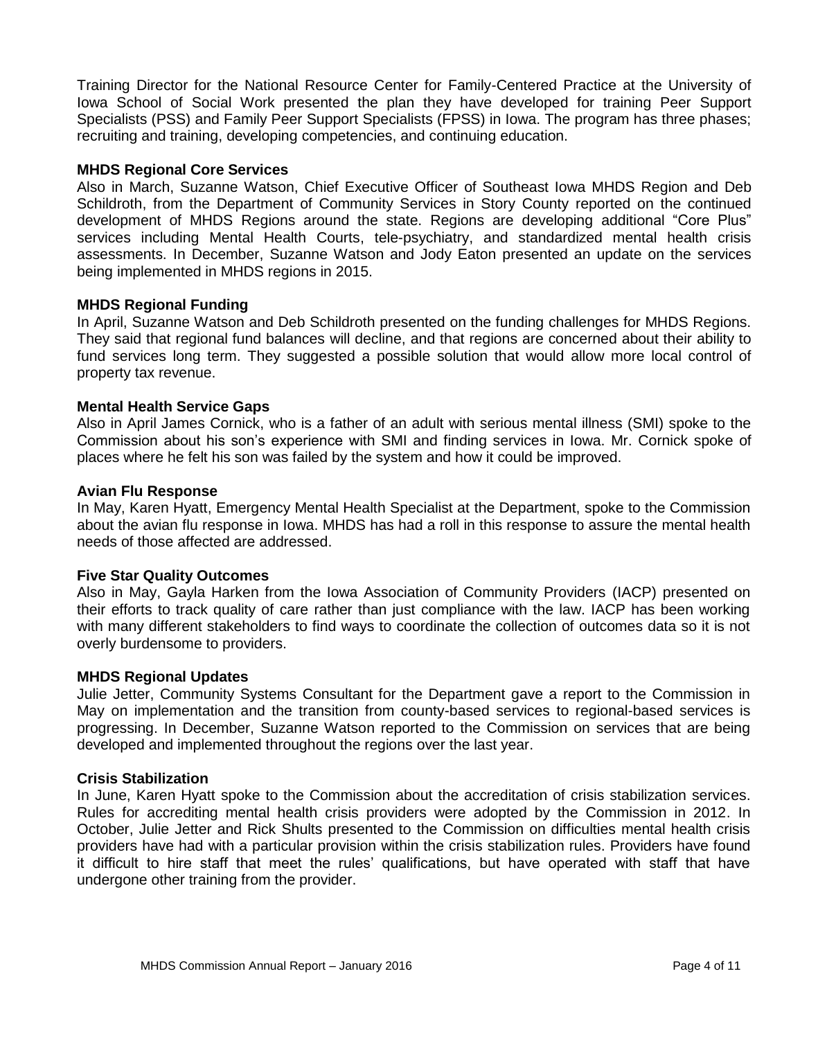Training Director for the National Resource Center for Family-Centered Practice at the University of Iowa School of Social Work presented the plan they have developed for training Peer Support Specialists (PSS) and Family Peer Support Specialists (FPSS) in Iowa. The program has three phases; recruiting and training, developing competencies, and continuing education.

#### **MHDS Regional Core Services**

Also in March, Suzanne Watson, Chief Executive Officer of Southeast Iowa MHDS Region and Deb Schildroth, from the Department of Community Services in Story County reported on the continued development of MHDS Regions around the state. Regions are developing additional "Core Plus" services including Mental Health Courts, tele-psychiatry, and standardized mental health crisis assessments. In December, Suzanne Watson and Jody Eaton presented an update on the services being implemented in MHDS regions in 2015.

#### **MHDS Regional Funding**

In April, Suzanne Watson and Deb Schildroth presented on the funding challenges for MHDS Regions. They said that regional fund balances will decline, and that regions are concerned about their ability to fund services long term. They suggested a possible solution that would allow more local control of property tax revenue.

# **Mental Health Service Gaps**

Also in April James Cornick, who is a father of an adult with serious mental illness (SMI) spoke to the Commission about his son's experience with SMI and finding services in Iowa. Mr. Cornick spoke of places where he felt his son was failed by the system and how it could be improved.

#### **Avian Flu Response**

In May, Karen Hyatt, Emergency Mental Health Specialist at the Department, spoke to the Commission about the avian flu response in Iowa. MHDS has had a roll in this response to assure the mental health needs of those affected are addressed.

#### **Five Star Quality Outcomes**

Also in May, Gayla Harken from the Iowa Association of Community Providers (IACP) presented on their efforts to track quality of care rather than just compliance with the law. IACP has been working with many different stakeholders to find ways to coordinate the collection of outcomes data so it is not overly burdensome to providers.

#### **MHDS Regional Updates**

Julie Jetter, Community Systems Consultant for the Department gave a report to the Commission in May on implementation and the transition from county-based services to regional-based services is progressing. In December, Suzanne Watson reported to the Commission on services that are being developed and implemented throughout the regions over the last year.

#### **Crisis Stabilization**

In June, Karen Hyatt spoke to the Commission about the accreditation of crisis stabilization services. Rules for accrediting mental health crisis providers were adopted by the Commission in 2012. In October, Julie Jetter and Rick Shults presented to the Commission on difficulties mental health crisis providers have had with a particular provision within the crisis stabilization rules. Providers have found it difficult to hire staff that meet the rules' qualifications, but have operated with staff that have undergone other training from the provider.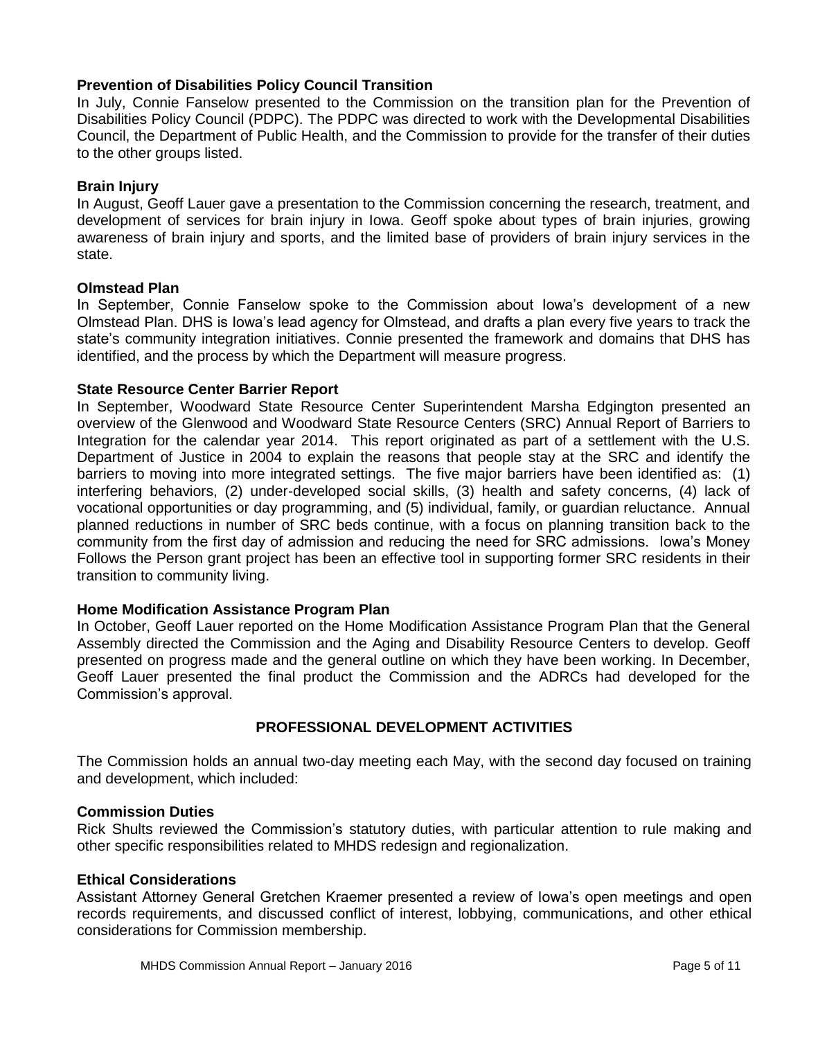# **Prevention of Disabilities Policy Council Transition**

In July, Connie Fanselow presented to the Commission on the transition plan for the Prevention of Disabilities Policy Council (PDPC). The PDPC was directed to work with the Developmental Disabilities Council, the Department of Public Health, and the Commission to provide for the transfer of their duties to the other groups listed.

#### **Brain Injury**

In August, Geoff Lauer gave a presentation to the Commission concerning the research, treatment, and development of services for brain injury in Iowa. Geoff spoke about types of brain injuries, growing awareness of brain injury and sports, and the limited base of providers of brain injury services in the state.

#### **Olmstead Plan**

In September, Connie Fanselow spoke to the Commission about Iowa's development of a new Olmstead Plan. DHS is Iowa's lead agency for Olmstead, and drafts a plan every five years to track the state's community integration initiatives. Connie presented the framework and domains that DHS has identified, and the process by which the Department will measure progress.

#### **State Resource Center Barrier Report**

In September, Woodward State Resource Center Superintendent Marsha Edgington presented an overview of the Glenwood and Woodward State Resource Centers (SRC) Annual Report of Barriers to Integration for the calendar year 2014. This report originated as part of a settlement with the U.S. Department of Justice in 2004 to explain the reasons that people stay at the SRC and identify the barriers to moving into more integrated settings. The five major barriers have been identified as: (1) interfering behaviors, (2) under-developed social skills, (3) health and safety concerns, (4) lack of vocational opportunities or day programming, and (5) individual, family, or guardian reluctance. Annual planned reductions in number of SRC beds continue, with a focus on planning transition back to the community from the first day of admission and reducing the need for SRC admissions. Iowa's Money Follows the Person grant project has been an effective tool in supporting former SRC residents in their transition to community living.

# **Home Modification Assistance Program Plan**

In October, Geoff Lauer reported on the Home Modification Assistance Program Plan that the General Assembly directed the Commission and the Aging and Disability Resource Centers to develop. Geoff presented on progress made and the general outline on which they have been working. In December, Geoff Lauer presented the final product the Commission and the ADRCs had developed for the Commission's approval.

# **PROFESSIONAL DEVELOPMENT ACTIVITIES**

The Commission holds an annual two-day meeting each May, with the second day focused on training and development, which included:

#### **Commission Duties**

Rick Shults reviewed the Commission's statutory duties, with particular attention to rule making and other specific responsibilities related to MHDS redesign and regionalization.

#### **Ethical Considerations**

Assistant Attorney General Gretchen Kraemer presented a review of Iowa's open meetings and open records requirements, and discussed conflict of interest, lobbying, communications, and other ethical considerations for Commission membership.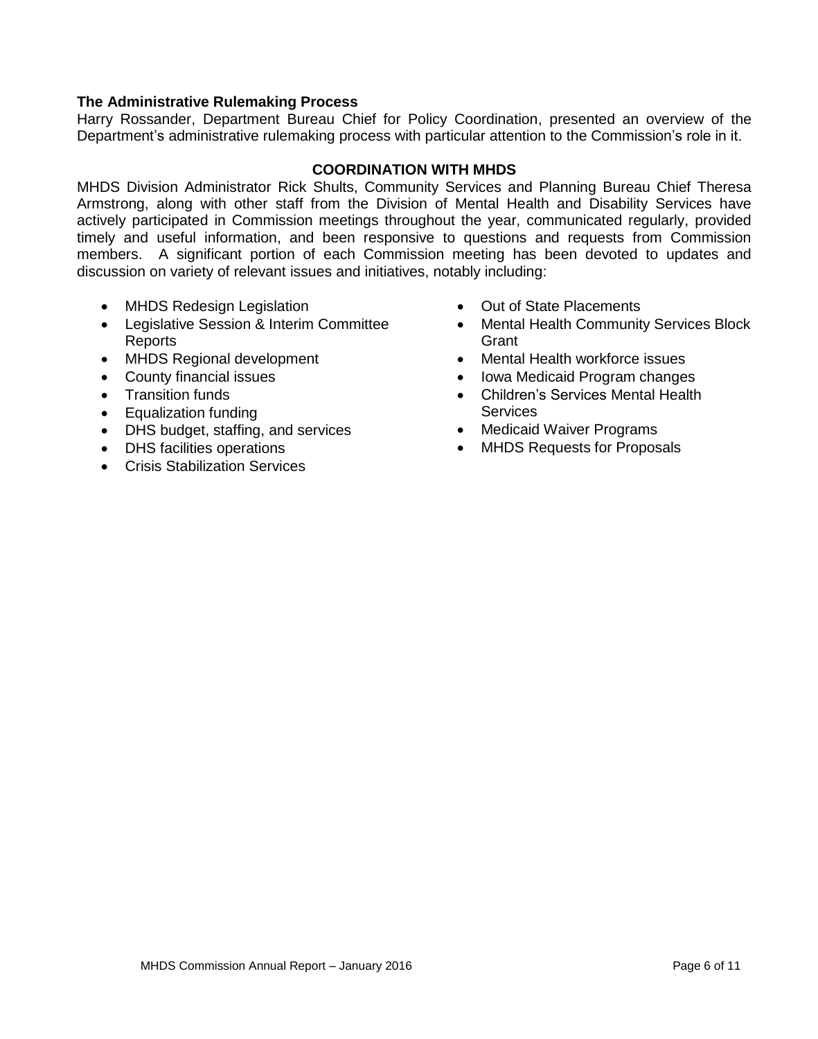# **The Administrative Rulemaking Process**

Harry Rossander, Department Bureau Chief for Policy Coordination, presented an overview of the Department's administrative rulemaking process with particular attention to the Commission's role in it.

# **COORDINATION WITH MHDS**

MHDS Division Administrator Rick Shults, Community Services and Planning Bureau Chief Theresa Armstrong, along with other staff from the Division of Mental Health and Disability Services have actively participated in Commission meetings throughout the year, communicated regularly, provided timely and useful information, and been responsive to questions and requests from Commission members. A significant portion of each Commission meeting has been devoted to updates and discussion on variety of relevant issues and initiatives, notably including:

- MHDS Redesign Legislation
- Legislative Session & Interim Committee Reports
- MHDS Regional development
- County financial issues
- Transition funds
- Equalization funding
- DHS budget, staffing, and services
- DHS facilities operations
- Crisis Stabilization Services
- Out of State Placements
- Mental Health Community Services Block **Grant**
- Mental Health workforce issues
- Iowa Medicaid Program changes
- Children's Services Mental Health **Services**
- Medicaid Waiver Programs
- MHDS Requests for Proposals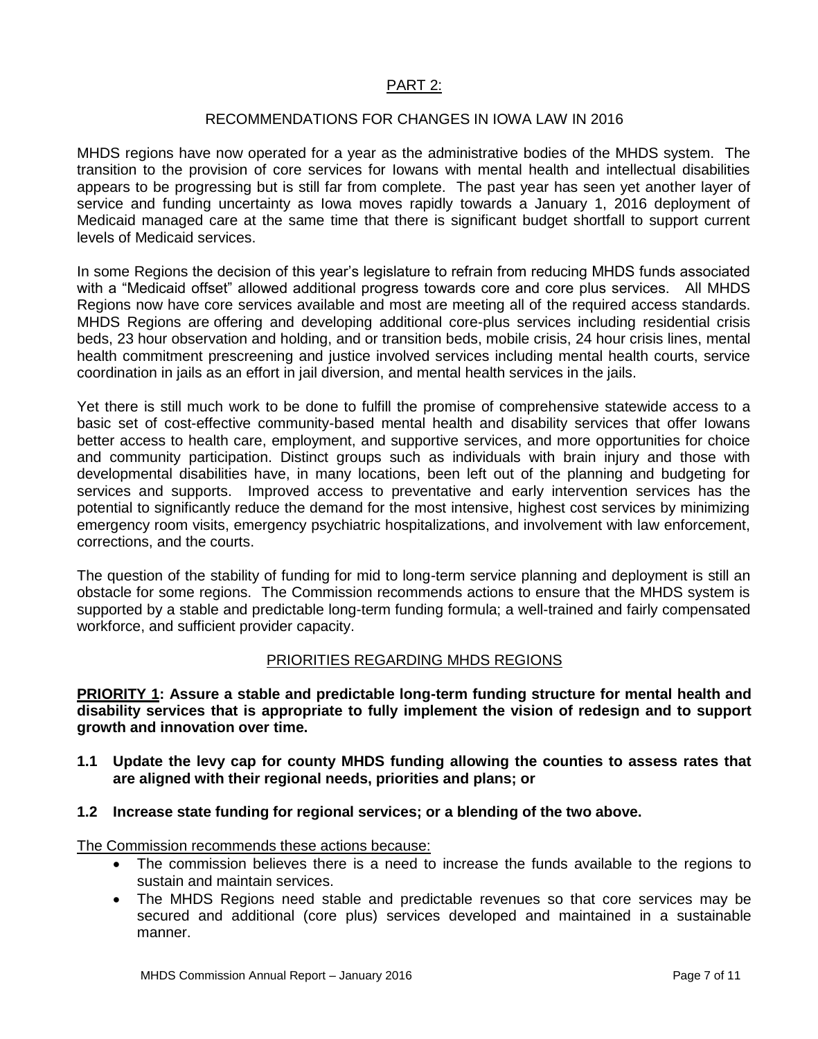# PART 2:

#### RECOMMENDATIONS FOR CHANGES IN IOWA LAW IN 2016

MHDS regions have now operated for a year as the administrative bodies of the MHDS system. The transition to the provision of core services for Iowans with mental health and intellectual disabilities appears to be progressing but is still far from complete. The past year has seen yet another layer of service and funding uncertainty as Iowa moves rapidly towards a January 1, 2016 deployment of Medicaid managed care at the same time that there is significant budget shortfall to support current levels of Medicaid services.

In some Regions the decision of this year's legislature to refrain from reducing MHDS funds associated with a "Medicaid offset" allowed additional progress towards core and core plus services. All MHDS Regions now have core services available and most are meeting all of the required access standards. MHDS Regions are offering and developing additional core-plus services including residential crisis beds, 23 hour observation and holding, and or transition beds, mobile crisis, 24 hour crisis lines, mental health commitment prescreening and justice involved services including mental health courts, service coordination in jails as an effort in jail diversion, and mental health services in the jails.

Yet there is still much work to be done to fulfill the promise of comprehensive statewide access to a basic set of cost-effective community-based mental health and disability services that offer Iowans better access to health care, employment, and supportive services, and more opportunities for choice and community participation. Distinct groups such as individuals with brain injury and those with developmental disabilities have, in many locations, been left out of the planning and budgeting for services and supports. Improved access to preventative and early intervention services has the potential to significantly reduce the demand for the most intensive, highest cost services by minimizing emergency room visits, emergency psychiatric hospitalizations, and involvement with law enforcement, corrections, and the courts.

The question of the stability of funding for mid to long-term service planning and deployment is still an obstacle for some regions. The Commission recommends actions to ensure that the MHDS system is supported by a stable and predictable long-term funding formula; a well-trained and fairly compensated workforce, and sufficient provider capacity.

# PRIORITIES REGARDING MHDS REGIONS

**PRIORITY 1: Assure a stable and predictable long-term funding structure for mental health and disability services that is appropriate to fully implement the vision of redesign and to support growth and innovation over time.**

- **1.1 Update the levy cap for county MHDS funding allowing the counties to assess rates that are aligned with their regional needs, priorities and plans; or**
- **1.2 Increase state funding for regional services; or a blending of the two above.**

The Commission recommends these actions because:

- The commission believes there is a need to increase the funds available to the regions to sustain and maintain services.
- The MHDS Regions need stable and predictable revenues so that core services may be secured and additional (core plus) services developed and maintained in a sustainable manner.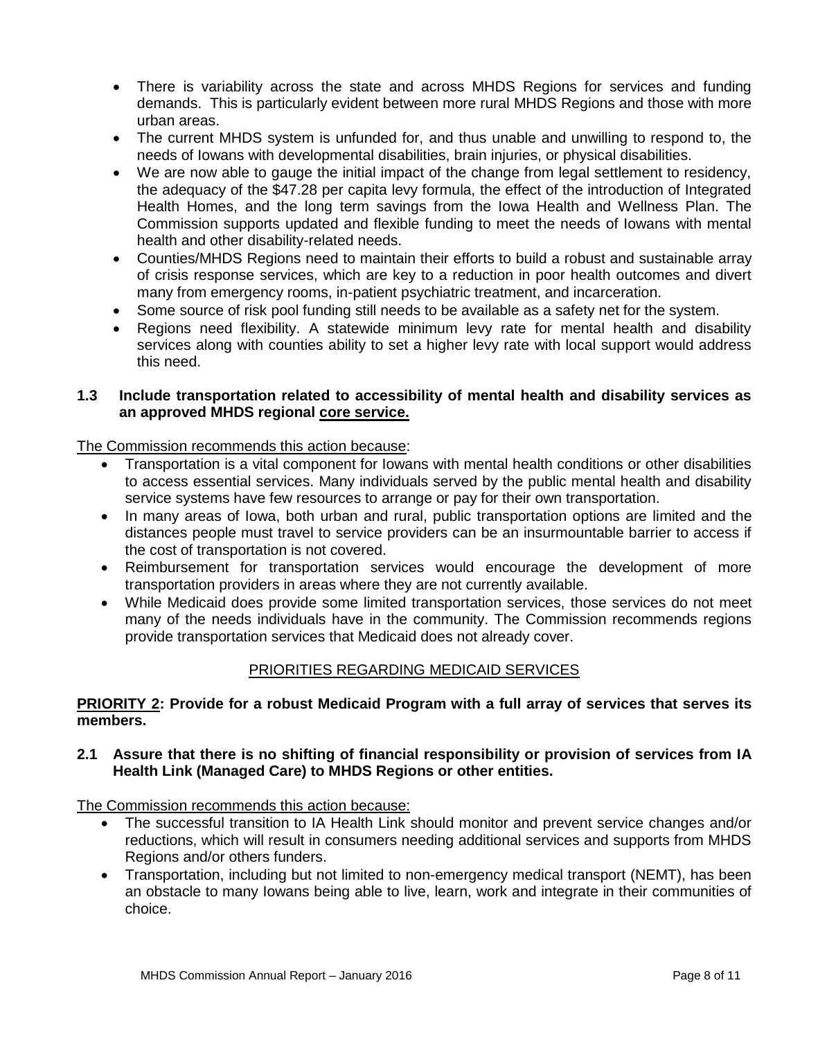- There is variability across the state and across MHDS Regions for services and funding demands. This is particularly evident between more rural MHDS Regions and those with more urban areas.
- The current MHDS system is unfunded for, and thus unable and unwilling to respond to, the needs of Iowans with developmental disabilities, brain injuries, or physical disabilities.
- We are now able to gauge the initial impact of the change from legal settlement to residency, the adequacy of the \$47.28 per capita levy formula, the effect of the introduction of Integrated Health Homes, and the long term savings from the Iowa Health and Wellness Plan. The Commission supports updated and flexible funding to meet the needs of Iowans with mental health and other disability-related needs.
- Counties/MHDS Regions need to maintain their efforts to build a robust and sustainable array of crisis response services, which are key to a reduction in poor health outcomes and divert many from emergency rooms, in-patient psychiatric treatment, and incarceration.
- Some source of risk pool funding still needs to be available as a safety net for the system.
- Regions need flexibility. A statewide minimum levy rate for mental health and disability services along with counties ability to set a higher levy rate with local support would address this need.

# **1.3 Include transportation related to accessibility of mental health and disability services as an approved MHDS regional core service.**

The Commission recommends this action because:

- Transportation is a vital component for Iowans with mental health conditions or other disabilities to access essential services. Many individuals served by the public mental health and disability service systems have few resources to arrange or pay for their own transportation.
- In many areas of Iowa, both urban and rural, public transportation options are limited and the distances people must travel to service providers can be an insurmountable barrier to access if the cost of transportation is not covered.
- Reimbursement for transportation services would encourage the development of more transportation providers in areas where they are not currently available.
- While Medicaid does provide some limited transportation services, those services do not meet many of the needs individuals have in the community. The Commission recommends regions provide transportation services that Medicaid does not already cover.

# PRIORITIES REGARDING MEDICAID SERVICES

# **PRIORITY 2: Provide for a robust Medicaid Program with a full array of services that serves its members.**

**2.1 Assure that there is no shifting of financial responsibility or provision of services from IA Health Link (Managed Care) to MHDS Regions or other entities.**

The Commission recommends this action because:

- The successful transition to IA Health Link should monitor and prevent service changes and/or reductions, which will result in consumers needing additional services and supports from MHDS Regions and/or others funders.
- Transportation, including but not limited to non-emergency medical transport (NEMT), has been an obstacle to many Iowans being able to live, learn, work and integrate in their communities of choice.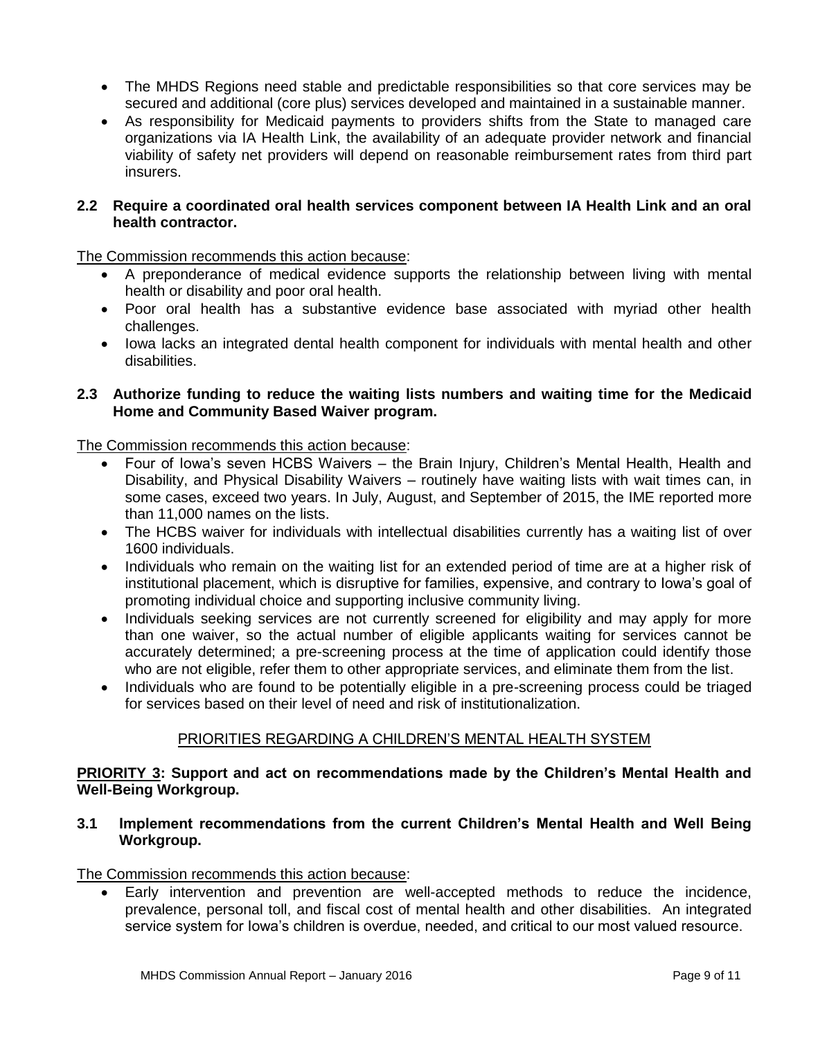- The MHDS Regions need stable and predictable responsibilities so that core services may be secured and additional (core plus) services developed and maintained in a sustainable manner.
- As responsibility for Medicaid payments to providers shifts from the State to managed care organizations via IA Health Link, the availability of an adequate provider network and financial viability of safety net providers will depend on reasonable reimbursement rates from third part insurers.

#### **2.2 Require a coordinated oral health services component between IA Health Link and an oral health contractor.**

The Commission recommends this action because:

- A preponderance of medical evidence supports the relationship between living with mental health or disability and poor oral health.
- Poor oral health has a substantive evidence base associated with myriad other health challenges.
- Iowa lacks an integrated dental health component for individuals with mental health and other disabilities.

# **2.3 Authorize funding to reduce the waiting lists numbers and waiting time for the Medicaid Home and Community Based Waiver program.**

The Commission recommends this action because:

- Four of Iowa's seven HCBS Waivers the Brain Injury, Children's Mental Health, Health and Disability, and Physical Disability Waivers – routinely have waiting lists with wait times can, in some cases, exceed two years. In July, August, and September of 2015, the IME reported more than 11,000 names on the lists.
- The HCBS waiver for individuals with intellectual disabilities currently has a waiting list of over 1600 individuals.
- Individuals who remain on the waiting list for an extended period of time are at a higher risk of institutional placement, which is disruptive for families, expensive, and contrary to Iowa's goal of promoting individual choice and supporting inclusive community living.
- Individuals seeking services are not currently screened for eligibility and may apply for more than one waiver, so the actual number of eligible applicants waiting for services cannot be accurately determined; a pre-screening process at the time of application could identify those who are not eligible, refer them to other appropriate services, and eliminate them from the list.
- Individuals who are found to be potentially eligible in a pre-screening process could be triaged for services based on their level of need and risk of institutionalization.

# PRIORITIES REGARDING A CHILDREN'S MENTAL HEALTH SYSTEM

# **PRIORITY 3: Support and act on recommendations made by the Children's Mental Health and Well-Being Workgroup.**

# **3.1 Implement recommendations from the current Children's Mental Health and Well Being Workgroup.**

The Commission recommends this action because:

 Early intervention and prevention are well-accepted methods to reduce the incidence, prevalence, personal toll, and fiscal cost of mental health and other disabilities. An integrated service system for Iowa's children is overdue, needed, and critical to our most valued resource.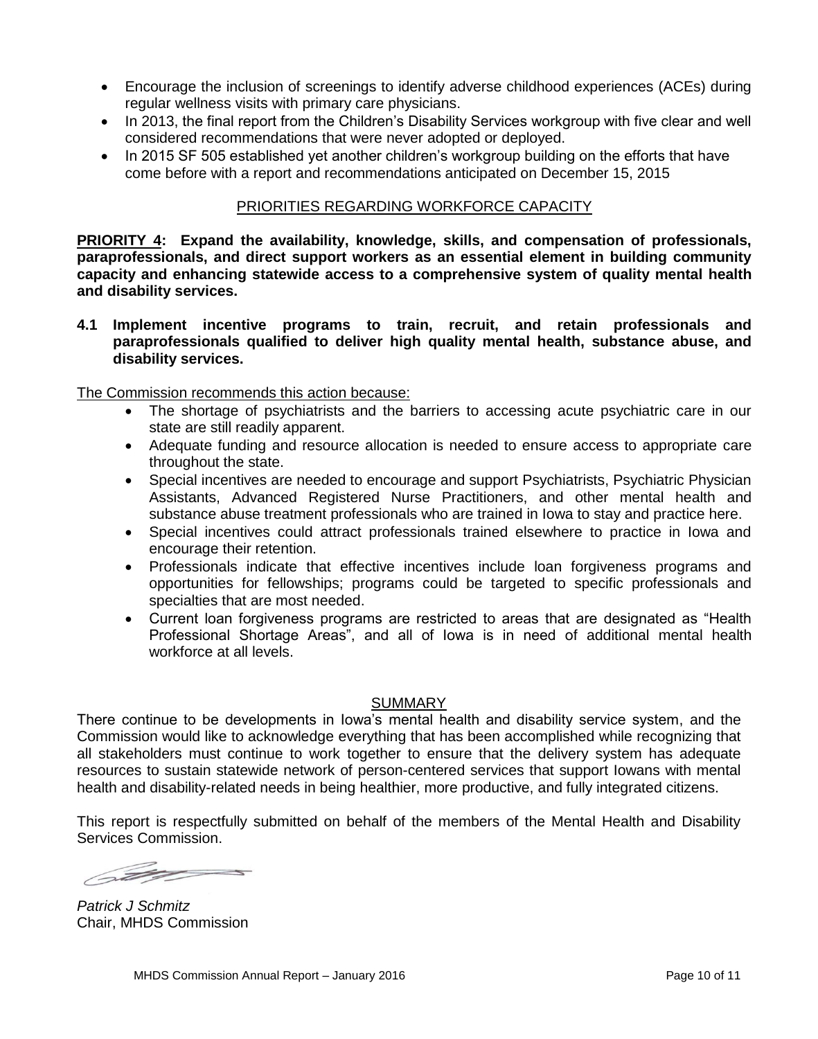- Encourage the inclusion of screenings to identify adverse childhood experiences (ACEs) during regular wellness visits with primary care physicians.
- In 2013, the final report from the Children's Disability Services workgroup with five clear and well considered recommendations that were never adopted or deployed.
- In 2015 SF 505 established yet another children's workgroup building on the efforts that have come before with a report and recommendations anticipated on December 15, 2015

# PRIORITIES REGARDING WORKFORCE CAPACITY

**PRIORITY 4: Expand the availability, knowledge, skills, and compensation of professionals, paraprofessionals, and direct support workers as an essential element in building community capacity and enhancing statewide access to a comprehensive system of quality mental health and disability services.**

**4.1 Implement incentive programs to train, recruit, and retain professionals and paraprofessionals qualified to deliver high quality mental health, substance abuse, and disability services.** 

The Commission recommends this action because:

- The shortage of psychiatrists and the barriers to accessing acute psychiatric care in our state are still readily apparent.
- Adequate funding and resource allocation is needed to ensure access to appropriate care throughout the state.
- Special incentives are needed to encourage and support Psychiatrists, Psychiatric Physician Assistants, Advanced Registered Nurse Practitioners, and other mental health and substance abuse treatment professionals who are trained in Iowa to stay and practice here.
- Special incentives could attract professionals trained elsewhere to practice in Iowa and encourage their retention.
- Professionals indicate that effective incentives include loan forgiveness programs and opportunities for fellowships; programs could be targeted to specific professionals and specialties that are most needed.
- Current loan forgiveness programs are restricted to areas that are designated as "Health Professional Shortage Areas", and all of Iowa is in need of additional mental health workforce at all levels.

# SUMMARY

There continue to be developments in Iowa's mental health and disability service system, and the Commission would like to acknowledge everything that has been accomplished while recognizing that all stakeholders must continue to work together to ensure that the delivery system has adequate resources to sustain statewide network of person-centered services that support Iowans with mental health and disability-related needs in being healthier, more productive, and fully integrated citizens.

This report is respectfully submitted on behalf of the members of the Mental Health and Disability Services Commission.

6 May 200

*Patrick J Schmitz* Chair, MHDS Commission